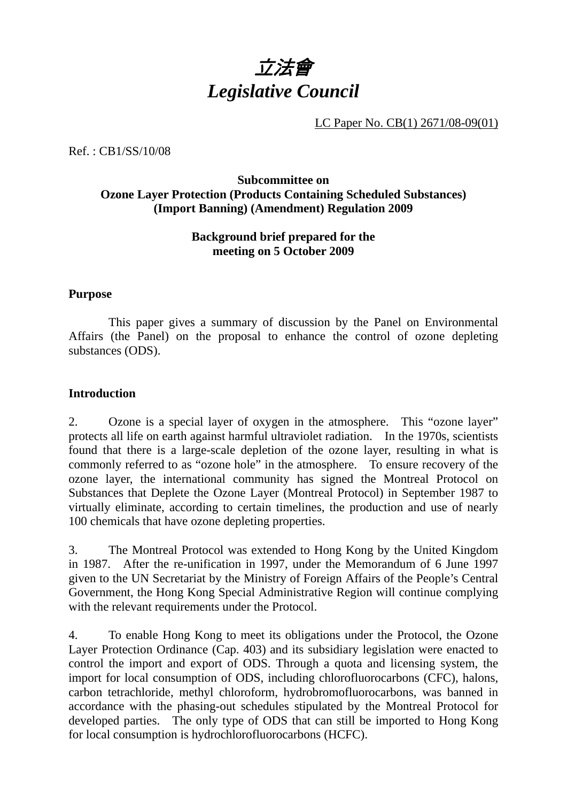

LC Paper No. CB(1) 2671/08-09(01)

Ref. : CB1/SS/10/08

# **Subcommittee on Ozone Layer Protection (Products Containing Scheduled Substances) (Import Banning) (Amendment) Regulation 2009**

# **Background brief prepared for the meeting on 5 October 2009**

### **Purpose**

 This paper gives a summary of discussion by the Panel on Environmental Affairs (the Panel) on the proposal to enhance the control of ozone depleting substances (ODS).

### **Introduction**

2. Ozone is a special layer of oxygen in the atmosphere. This "ozone layer" protects all life on earth against harmful ultraviolet radiation. In the 1970s, scientists found that there is a large-scale depletion of the ozone layer, resulting in what is commonly referred to as "ozone hole" in the atmosphere. To ensure recovery of the ozone layer, the international community has signed the Montreal Protocol on Substances that Deplete the Ozone Layer (Montreal Protocol) in September 1987 to virtually eliminate, according to certain timelines, the production and use of nearly 100 chemicals that have ozone depleting properties.

3. The Montreal Protocol was extended to Hong Kong by the United Kingdom in 1987. After the re-unification in 1997, under the Memorandum of 6 June 1997 given to the UN Secretariat by the Ministry of Foreign Affairs of the People's Central Government, the Hong Kong Special Administrative Region will continue complying with the relevant requirements under the Protocol.

4. To enable Hong Kong to meet its obligations under the Protocol, the Ozone Layer Protection Ordinance (Cap. 403) and its subsidiary legislation were enacted to control the import and export of ODS. Through a quota and licensing system, the import for local consumption of ODS, including chlorofluorocarbons (CFC), halons, carbon tetrachloride, methyl chloroform, hydrobromofluorocarbons, was banned in accordance with the phasing-out schedules stipulated by the Montreal Protocol for developed parties. The only type of ODS that can still be imported to Hong Kong for local consumption is hydrochlorofluorocarbons (HCFC).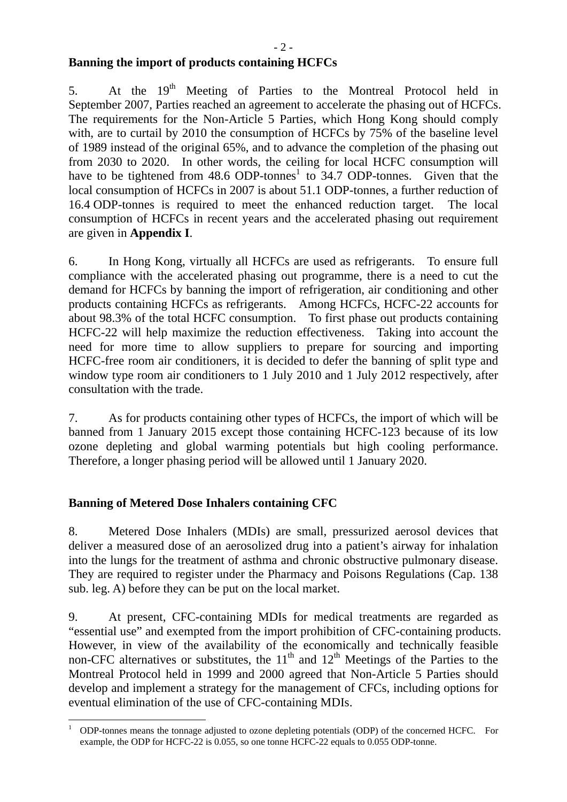5. At the 19<sup>th</sup> Meeting of Parties to the Montreal Protocol held in September 2007, Parties reached an agreement to accelerate the phasing out of HCFCs. The requirements for the Non-Article 5 Parties, which Hong Kong should comply with, are to curtail by 2010 the consumption of HCFCs by 75% of the baseline level of 1989 instead of the original 65%, and to advance the completion of the phasing out from 2030 to 2020. In other words, the ceiling for local HCFC consumption will have to be tightened from  $48.6$  ODP-tonnes<sup>1</sup> to 34.7 ODP-tonnes. Given that the local consumption of HCFCs in 2007 is about 51.1 ODP-tonnes, a further reduction of 16.4 ODP-tonnes is required to meet the enhanced reduction target. The local consumption of HCFCs in recent years and the accelerated phasing out requirement are given in **Appendix I**.

6. In Hong Kong, virtually all HCFCs are used as refrigerants. To ensure full compliance with the accelerated phasing out programme, there is a need to cut the demand for HCFCs by banning the import of refrigeration, air conditioning and other products containing HCFCs as refrigerants. Among HCFCs, HCFC-22 accounts for about 98.3% of the total HCFC consumption. To first phase out products containing HCFC-22 will help maximize the reduction effectiveness. Taking into account the need for more time to allow suppliers to prepare for sourcing and importing HCFC-free room air conditioners, it is decided to defer the banning of split type and window type room air conditioners to 1 July 2010 and 1 July 2012 respectively, after consultation with the trade.

7. As for products containing other types of HCFCs, the import of which will be banned from 1 January 2015 except those containing HCFC-123 because of its low ozone depleting and global warming potentials but high cooling performance. Therefore, a longer phasing period will be allowed until 1 January 2020.

# **Banning of Metered Dose Inhalers containing CFC**

8. Metered Dose Inhalers (MDIs) are small, pressurized aerosol devices that deliver a measured dose of an aerosolized drug into a patient's airway for inhalation into the lungs for the treatment of asthma and chronic obstructive pulmonary disease. They are required to register under the Pharmacy and Poisons Regulations (Cap. 138 sub. leg. A) before they can be put on the local market.

9. At present, CFC-containing MDIs for medical treatments are regarded as "essential use" and exempted from the import prohibition of CFC-containing products. However, in view of the availability of the economically and technically feasible non-CFC alternatives or substitutes, the  $11<sup>th</sup>$  and  $12<sup>th</sup>$  Meetings of the Parties to the Montreal Protocol held in 1999 and 2000 agreed that Non-Article 5 Parties should develop and implement a strategy for the management of CFCs, including options for eventual elimination of the use of CFC-containing MDIs.

 $\frac{1}{1}$  ODP-tonnes means the tonnage adjusted to ozone depleting potentials (ODP) of the concerned HCFC. For example, the ODP for HCFC-22 is 0.055, so one tonne HCFC-22 equals to 0.055 ODP-tonne.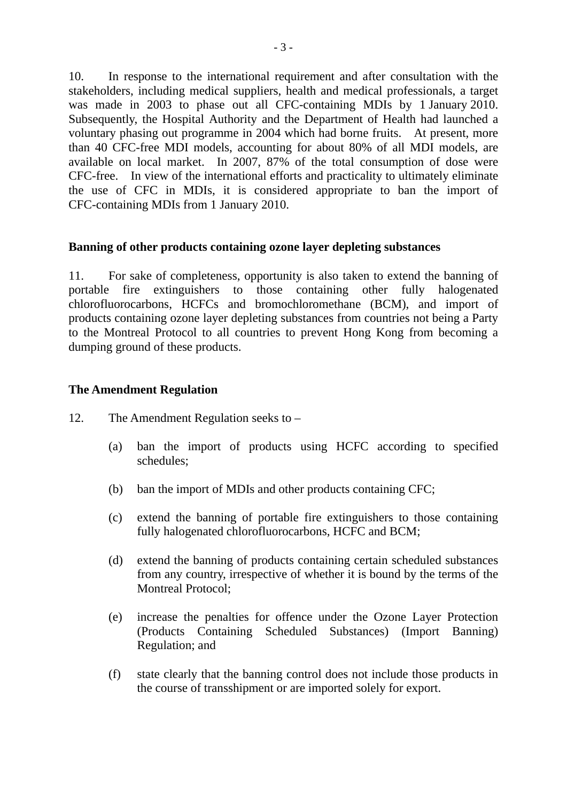10. In response to the international requirement and after consultation with the stakeholders, including medical suppliers, health and medical professionals, a target was made in 2003 to phase out all CFC-containing MDIs by 1 January 2010. Subsequently, the Hospital Authority and the Department of Health had launched a voluntary phasing out programme in 2004 which had borne fruits. At present, more than 40 CFC-free MDI models, accounting for about 80% of all MDI models, are available on local market. In 2007, 87% of the total consumption of dose were CFC-free. In view of the international efforts and practicality to ultimately eliminate the use of CFC in MDIs, it is considered appropriate to ban the import of CFC-containing MDIs from 1 January 2010.

### **Banning of other products containing ozone layer depleting substances**

11. For sake of completeness, opportunity is also taken to extend the banning of portable fire extinguishers to those containing other fully halogenated chlorofluorocarbons, HCFCs and bromochloromethane (BCM), and import of products containing ozone layer depleting substances from countries not being a Party to the Montreal Protocol to all countries to prevent Hong Kong from becoming a dumping ground of these products.

### **The Amendment Regulation**

- 12. The Amendment Regulation seeks to
	- (a) ban the import of products using HCFC according to specified schedules;
	- (b) ban the import of MDIs and other products containing CFC;
	- (c) extend the banning of portable fire extinguishers to those containing fully halogenated chlorofluorocarbons, HCFC and BCM;
	- (d) extend the banning of products containing certain scheduled substances from any country, irrespective of whether it is bound by the terms of the Montreal Protocol;
	- (e) increase the penalties for offence under the Ozone Layer Protection (Products Containing Scheduled Substances) (Import Banning) Regulation; and
	- (f) state clearly that the banning control does not include those products in the course of transshipment or are imported solely for export.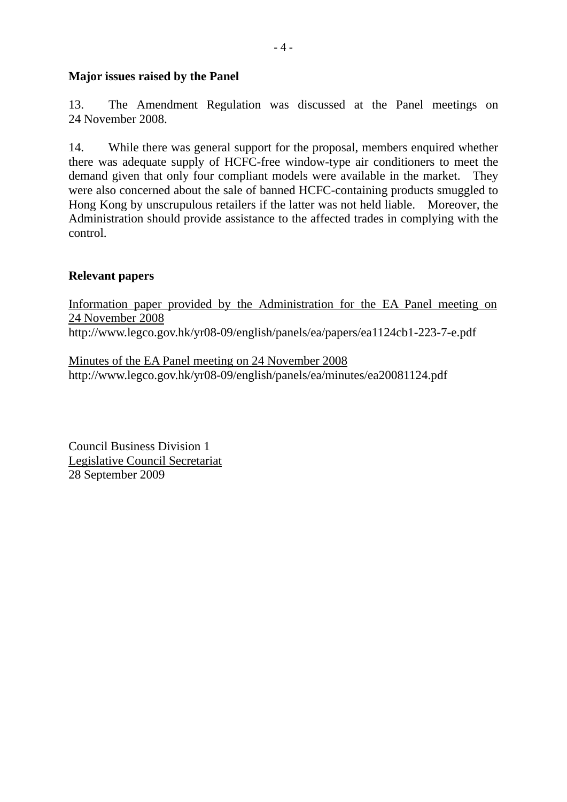## **Major issues raised by the Panel**

13. The Amendment Regulation was discussed at the Panel meetings on 24 November 2008.

14. While there was general support for the proposal, members enquired whether there was adequate supply of HCFC-free window-type air conditioners to meet the demand given that only four compliant models were available in the market. They were also concerned about the sale of banned HCFC-containing products smuggled to Hong Kong by unscrupulous retailers if the latter was not held liable. Moreover, the Administration should provide assistance to the affected trades in complying with the control.

### **Relevant papers**

Information paper provided by the Administration for the EA Panel meeting on 24 November 2008 http://www.legco.gov.hk/yr08-09/english/panels/ea/papers/ea1124cb1-223-7-e.pdf

Minutes of the EA Panel meeting on 24 November 2008 http://www.legco.gov.hk/yr08-09/english/panels/ea/minutes/ea20081124.pdf

Council Business Division 1 Legislative Council Secretariat 28 September 2009